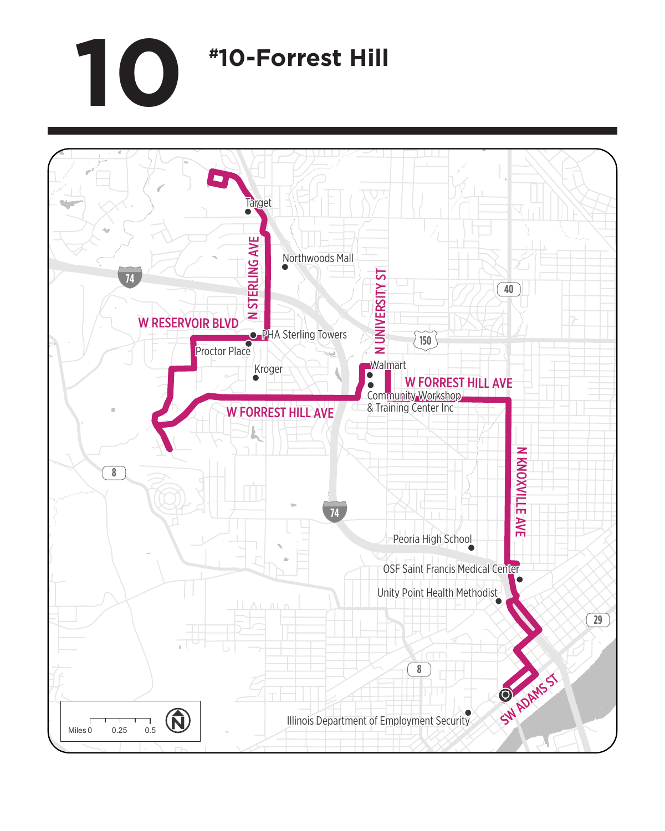## **10 #10-Forrest Hill**